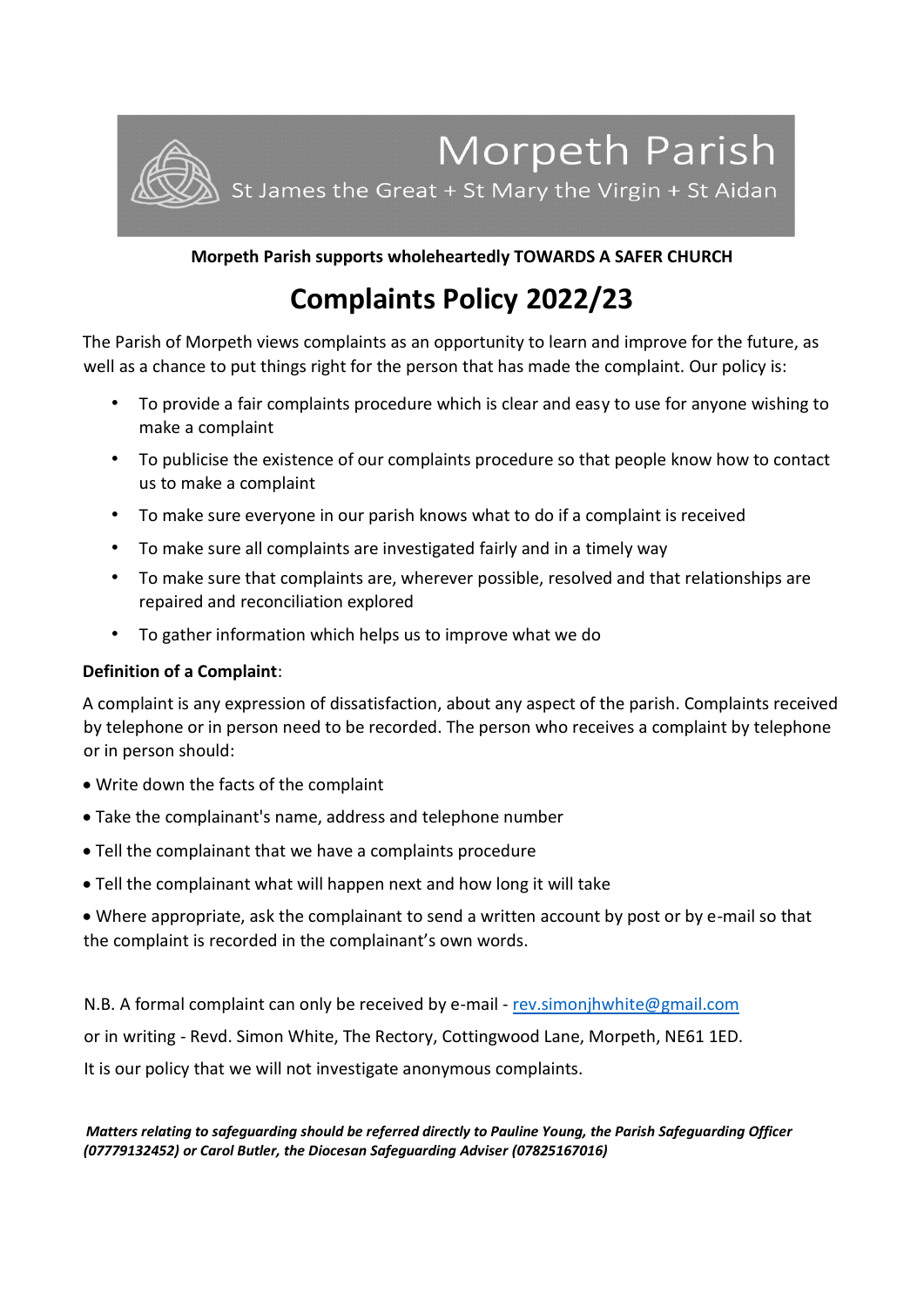

# **Morpeth Parish supports wholeheartedly TOWARDS A SAFER CHURCH**

# **Complaints Policy 2022/23**

The Parish of Morpeth views complaints as an opportunity to learn and improve for the future, as well as a chance to put things right for the person that has made the complaint. Our policy is:

- To provide a fair complaints procedure which is clear and easy to use for anyone wishing to make a complaint
- To publicise the existence of our complaints procedure so that people know how to contact us to make a complaint
- To make sure everyone in our parish knows what to do if a complaint is received
- To make sure all complaints are investigated fairly and in a timely way
- To make sure that complaints are, wherever possible, resolved and that relationships are repaired and reconciliation explored
- To gather information which helps us to improve what we do

# **Definition of a Complaint**:

A complaint is any expression of dissatisfaction, about any aspect of the parish. Complaints received by telephone or in person need to be recorded. The person who receives a complaint by telephone or in person should:

- Write down the facts of the complaint
- Take the complainant's name, address and telephone number
- Tell the complainant that we have a complaints procedure
- Tell the complainant what will happen next and how long it will take
- Where appropriate, ask the complainant to send a written account by post or by e-mail so that the complaint is recorded in the complainant's own words.

N.B. A formal complaint can only be received by e-mail - [rev.simonjhwhite@gmail.com](mailto:rev.simonjhwhite@gmail.com)

or in writing - Revd. Simon White, The Rectory, Cottingwood Lane, Morpeth, NE61 1ED.

It is our policy that we will not investigate anonymous complaints.

*Matters relating to safeguarding should be referred directly to Pauline Young, the Parish Safeguarding Officer (07779132452) or Carol Butler, the Diocesan Safeguarding Adviser (07825167016)*